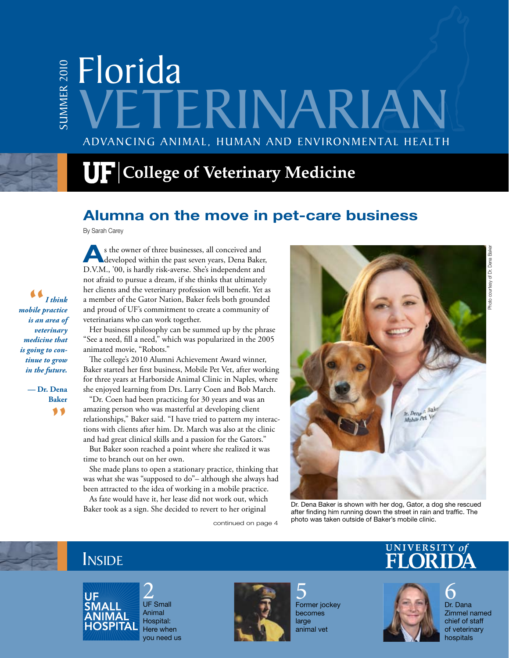# Advancing Animal, Human and Environmental Health Florida summ er 2010 TERINAR

# $\mathbf{U}\mathbf{F}$  College of Veterinary Medicine

#### **Alumna on the move in pet-care business**

By Sarah Carey

s the owner of three businesses, all conceived and developed within the past seven years, Dena Baker, D.V.M., '00, is hardly risk-averse. She's independent and not afraid to pursue a dream, if she thinks that ultimately her clients and the veterinary profession will benefit. Yet as a member of the Gator Nation, Baker feels both grounded and proud of UF's commitment to create a community of veterinarians who can work together.

Her business philosophy can be summed up by the phrase "See a need, fill a need," which was popularized in the 2005 animated movie, "Robots."

The college's 2010 Alumni Achievement Award winner, Baker started her first business, Mobile Pet Vet, after working for three years at Harborside Animal Clinic in Naples, where she enjoyed learning from Drs. Larry Coen and Bob March.

"Dr. Coen had been practicing for 30 years and was an amazing person who was masterful at developing client relationships," Baker said. "I have tried to pattern my interactions with clients after him. Dr. March was also at the clinic and had great clinical skills and a passion for the Gators."

But Baker soon reached a point where she realized it was time to branch out on her own.

She made plans to open a stationary practice, thinking that was what she was "supposed to do"– although she always had been attracted to the idea of working in a mobile practice.

As fate would have it, her lease did not work out, which Baker took as a sign. She decided to revert to her original Dr. Dena Baker is shown with her dog, Gator, a dog she rescued<br>Baker took as a sign. She decided to revert to her original

continued on page 4



after finding him running down the street in rain and traffic. The photo was taken outside of Baker's mobile clinic.

# **INSIDE**



2<br>UF Small Animal Hospital: Here when you need us



5 Former jockey becomes large animal vet

# UNIVERSITY of



6 Dr. Dana Zimmel named chief of staff of veterinary

Photo courtesy of Dr. Dena Baker

Photo courtesy of Dr. Dena Bake

*—* **Dr. Dena Baker** "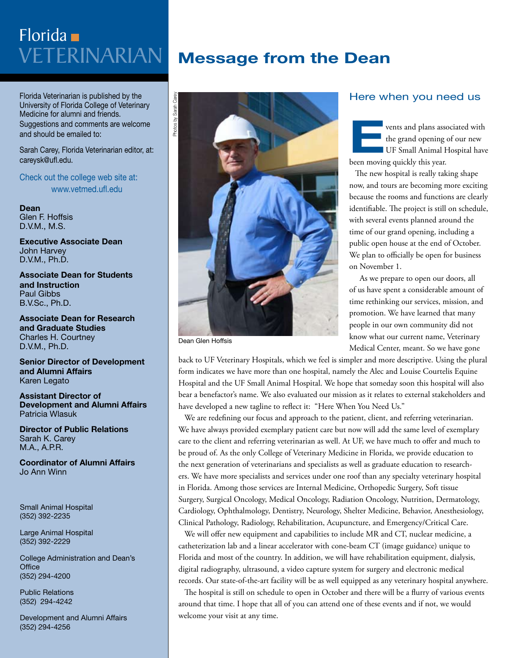# Veterinarian Florida

Florida Veterinarian is published by the University of Florida College of Veterinary Medicine for alumni and friends. Suggestions and comments are welcome and should be emailed to:

Sarah Carey, Florida Veterinarian editor, at: careysk@ufl.edu.

Check out the college web site at: www.vetmed.ufl.edu

**Dean** Glen F. Hoffsis D.V.M., M.S.

**Executive Associate Dean**  John Harvey D.V.M., Ph.D.

**Associate Dean for Students and Instruction** Paul Gibbs B.V.Sc., Ph.D.

**Associate Dean for Research and Graduate Studies** Charles H. Courtney D.V.M., Ph.D.

**Senior Director of Development and Alumni Affairs** Karen Legato

**Assistant Director of Development and Alumni Affairs** Patricia Wlasuk

**Director of Public Relations** Sarah K. Carey M.A., A.P.R.

**Coordinator of Alumni Affairs** Jo Ann Winn

Small Animal Hospital (352) 392-2235

Large Animal Hospital (352) 392-2229

College Administration and Dean's **Office** (352) 294-4200

Public Relations (352) 294-4242

Development and Alumni Affairs (352) 294-4256

## **Message from the Dean**



Dean Glen Hoffsis

#### Here when you need us

**EVENTIFY SET ASSOCIATED AT A VEHICLE STATE OF SMALL AND THE STATE OF SMALL AND NOTE OF SMALL AND NOTE AND THE STATE OF SMALL AND THE SMALL AND THE SMALL AND THE SMALL AND THE SMALL AND THE SMALL AND THE SMALL AND THE SMAL** the grand opening of our new UF Small Animal Hospital have been moving quickly this year.

The new hospital is really taking shape now, and tours are becoming more exciting because the rooms and functions are clearly identifiable. The project is still on schedule, with several events planned around the time of our grand opening, including a public open house at the end of October. We plan to officially be open for business on November 1.

 As we prepare to open our doors, all of us have spent a considerable amount of time rethinking our services, mission, and promotion. We have learned that many people in our own community did not know what our current name, Veterinary Medical Center, meant. So we have gone

back to UF Veterinary Hospitals, which we feel is simpler and more descriptive. Using the plural form indicates we have more than one hospital, namely the Alec and Louise Courtelis Equine Hospital and the UF Small Animal Hospital. We hope that someday soon this hospital will also bear a benefactor's name. We also evaluated our mission as it relates to external stakeholders and have developed a new tagline to reflect it: "Here When You Need Us."

We are redefining our focus and approach to the patient, client, and referring veterinarian. We have always provided exemplary patient care but now will add the same level of exemplary care to the client and referring veterinarian as well. At UF, we have much to offer and much to be proud of. As the only College of Veterinary Medicine in Florida, we provide education to the next generation of veterinarians and specialists as well as graduate education to researchers. We have more specialists and services under one roof than any specialty veterinary hospital in Florida. Among those services are Internal Medicine, Orthopedic Surgery, Soft tissue Surgery, Surgical Oncology, Medical Oncology, Radiation Oncology, Nutrition, Dermatology, Cardiology, Ophthalmology, Dentistry, Neurology, Shelter Medicine, Behavior, Anesthesiology, Clinical Pathology, Radiology, Rehabilitation, Acupuncture, and Emergency/Critical Care.

We will offer new equipment and capabilities to include MR and CT, nuclear medicine, a catheterization lab and a linear accelerator with cone-beam CT (image guidance) unique to Florida and most of the country. In addition, we will have rehabilitation equipment, dialysis, digital radiography, ultrasound, a video capture system for surgery and electronic medical records. Our state-of-the-art facility will be as well equipped as any veterinary hospital anywhere.

The hospital is still on schedule to open in October and there will be a flurry of various events around that time. I hope that all of you can attend one of these events and if not, we would welcome your visit at any time.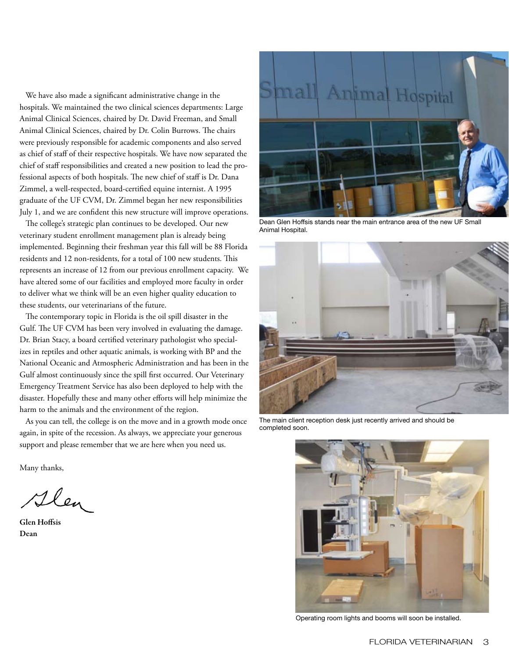We have also made a significant administrative change in the hospitals. We maintained the two clinical sciences departments: Large Animal Clinical Sciences, chaired by Dr. David Freeman, and Small Animal Clinical Sciences, chaired by Dr. Colin Burrows. The chairs were previously responsible for academic components and also served as chief of staff of their respective hospitals. We have now separated the chief of staff responsibilities and created a new position to lead the professional aspects of both hospitals. The new chief of staff is Dr. Dana Zimmel, a well-respected, board-certified equine internist. A 1995 graduate of the UF CVM, Dr. Zimmel began her new responsibilities July 1, and we are confident this new structure will improve operations.

The college's strategic plan continues to be developed. Our new veterinary student enrollment management plan is already being implemented. Beginning their freshman year this fall will be 88 Florida residents and 12 non-residents, for a total of 100 new students. This represents an increase of 12 from our previous enrollment capacity. We have altered some of our facilities and employed more faculty in order to deliver what we think will be an even higher quality education to these students, our veterinarians of the future.

The contemporary topic in Florida is the oil spill disaster in the Gulf. The UF CVM has been very involved in evaluating the damage. Dr. Brian Stacy, a board certified veterinary pathologist who specializes in reptiles and other aquatic animals, is working with BP and the National Oceanic and Atmospheric Administration and has been in the Gulf almost continuously since the spill first occurred. Our Veterinary Emergency Treatment Service has also been deployed to help with the disaster. Hopefully these and many other efforts will help minimize the harm to the animals and the environment of the region.

As you can tell, the college is on the move and in a growth mode once again, in spite of the recession. As always, we appreciate your generous support and please remember that we are here when you need us.

Many thanks,

Flen

Glen Hoffsis Dean



Dean Glen Hoffsis stands near the main entrance area of the new UF Small Animal Hospital.



The main client reception desk just recently arrived and should be completed soon.



Operating room lights and booms will soon be installed.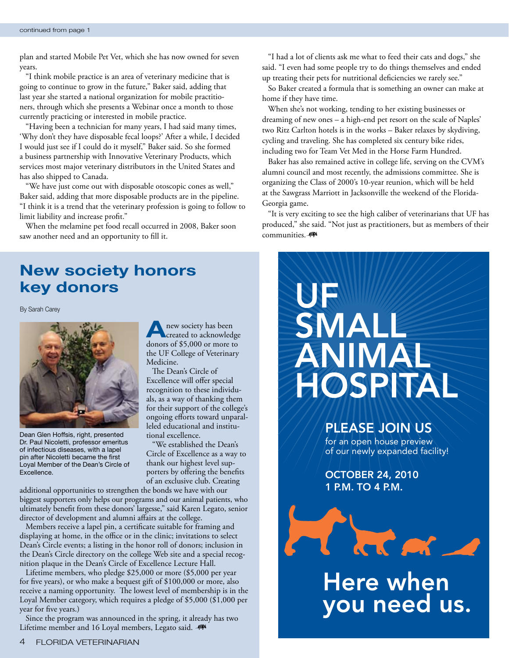plan and started Mobile Pet Vet, which she has now owned for seven years.

"I think mobile practice is an area of veterinary medicine that is going to continue to grow in the future," Baker said, adding that last year she started a national organization for mobile practitioners, through which she presents a Webinar once a month to those currently practicing or interested in mobile practice.

"Having been a technician for many years, I had said many times, 'Why don't they have disposable fecal loops?' After a while, I decided I would just see if I could do it myself," Baker said. So she formed a business partnership with Innovative Veterinary Products, which services most major veterinary distributors in the United States and has also shipped to Canada.

"We have just come out with disposable otoscopic cones as well," Baker said, adding that more disposable products are in the pipeline. "I think it is a trend that the veterinary profession is going to follow to limit liability and increase profit."

When the melamine pet food recall occurred in 2008, Baker soon saw another need and an opportunity to fill it.

"I had a lot of clients ask me what to feed their cats and dogs," she said. "I even had some people try to do things themselves and ended up treating their pets for nutritional deficiencies we rarely see."

So Baker created a formula that is something an owner can make at home if they have time.

When she's not working, tending to her existing businesses or dreaming of new ones – a high-end pet resort on the scale of Naples' two Ritz Carlton hotels is in the works – Baker relaxes by skydiving, cycling and traveling. She has completed six century bike rides, including two for Team Vet Med in the Horse Farm Hundred.

Baker has also remained active in college life, serving on the CVM's alumni council and most recently, the admissions committee. She is organizing the Class of 2000's 10-year reunion, which will be held at the Sawgrass Marriott in Jacksonville the weekend of the Florida-Georgia game.

"It is very exciting to see the high caliber of veterinarians that UF has produced," she said. "Not just as practitioners, but as members of their communities.-

## **New society honors key donors**

By Sarah Carey



Dean Glen Hoffsis, right, presented Dr. Paul Nicoletti, professor emeritus of infectious diseases, with a lapel pin after Nicoletti became the first Loyal Member of the Dean's Circle of Excellence.

**A** new society has been<br>created to acknowledge donors of \$5,000 or more to the UF College of Veterinary Medicine.

The Dean's Circle of Excellence will offer special recognition to these individuals, as a way of thanking them for their support of the college's ongoing efforts toward unparalleled educational and institutional excellence.

We established the Dean's Circle of Excellence as a way to thank our highest level supporters by offering the benefits of an exclusive club. Creating

additional opportunities to strengthen the bonds we have with our biggest supporters only helps our programs and our animal patients, who ultimately benefit from these donors' largesse," said Karen Legato, senior director of development and alumni affairs at the college.

Members receive a lapel pin, a certificate suitable for framing and displaying at home, in the office or in the clinic; invitations to select Dean's Circle events; a listing in the honor roll of donors; inclusion in the Dean's Circle directory on the college Web site and a special recognition plaque in the Dean's Circle of Excellence Lecture Hall.

Lifetime members, who pledge \$25,000 or more (\$5,000 per year for five years), or who make a bequest gift of \$100,000 or more, also receive a naming opportunity. The lowest level of membership is in the Loyal Member category, which requires a pledge of \$5,000 (\$1,000 per year for five years.)

Since the program was announced in the spring, it already has two Lifetime member and 16 Loyal members, Legato said.



#### PLEASE JOIN US

for an open house preview of our newly expanded facility!

OCTOBER 24, 2010 1 P.M. TO 4 P.M.



# Here when<br>you need us.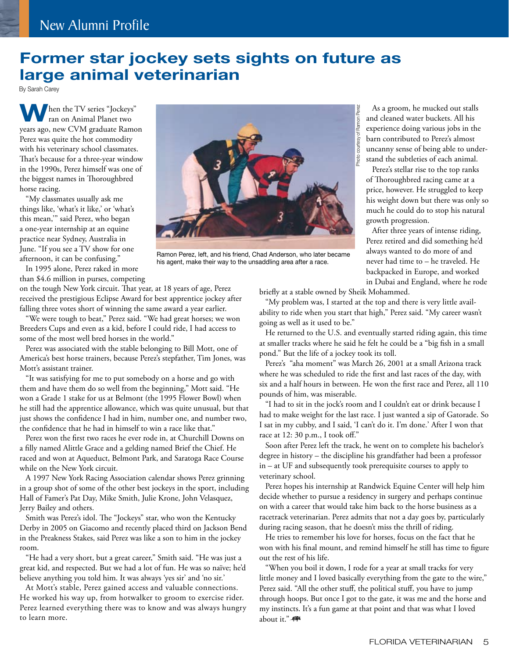#### **Former star jockey sets sights on future as large animal veterinarian**

By Sarah Carey

**When the TV series "Jockeys"** ran on Animal Planet two years ago, new CVM graduate Ramon Perez was quite the hot commodity with his veterinary school classmates. That's because for a three-year window in the 1990s, Perez himself was one of the biggest names in Thoroughbred horse racing.

"My classmates usually ask me things like, 'what's it like,' or 'what's this mean,'" said Perez, who began a one-year internship at an equine practice near Sydney, Australia in June. "If you see a TV show for one afternoon, it can be confusing."

In 1995 alone, Perez raked in more than \$4.6 million in purses, competing

on the tough New York circuit. That year, at 18 years of age, Perez received the prestigious Eclipse Award for best apprentice jockey after falling three votes short of winning the same award a year earlier.

"We were tough to beat," Perez said. "We had great horses; we won Breeders Cups and even as a kid, before I could ride, I had access to some of the most well bred horses in the world."

Perez was associated with the stable belonging to Bill Mott, one of America's best horse trainers, because Perez's stepfather, Tim Jones, was Mott's assistant trainer.

"It was satisfying for me to put somebody on a horse and go with them and have them do so well from the beginning," Mott said. "He won a Grade 1 stake for us at Belmont (the 1995 Flower Bowl) when he still had the apprentice allowance, which was quite unusual, but that just shows the confidence I had in him, number one, and number two, the confidence that he had in himself to win a race like that."

Perez won the first two races he ever rode in, at Churchill Downs on a filly named Alittle Grace and a gelding named Brief the Chief. He raced and won at Aqueduct, Belmont Park, and Saratoga Race Course while on the New York circuit.

A 1997 New York Racing Association calendar shows Perez grinning in a group shot of some of the other best jockeys in the sport, including Hall of Famer's Pat Day, Mike Smith, Julie Krone, John Velasquez, Jerry Bailey and others.

Smith was Perez's idol. The "Jockeys" star, who won the Kentucky Derby in 2005 on Giacomo and recently placed third on Jackson Bend in the Preakness Stakes, said Perez was like a son to him in the jockey room.

"He had a very short, but a great career," Smith said. "He was just a great kid, and respected. But we had a lot of fun. He was so naïve; he'd believe anything you told him. It was always 'yes sir' and 'no sir.'

At Mott's stable, Perez gained access and valuable connections. He worked his way up, from hotwalker to groom to exercise rider. Perez learned everything there was to know and was always hungry to learn more.

Ramon Perez, left, and his friend, Chad Anderson, who later became his agent, make their way to the unsaddling area after a race.

in Dubai and England, where he rode briefly at a stable owned by Sheik Mohammed.

"My problem was, I started at the top and there is very little availability to ride when you start that high," Perez said. "My career wasn't going as well as it used to be."

growth progression.

Photo courtesy of Ramon Perez

oto

courtesy of Ramon Perez

As a groom, he mucked out stalls and cleaned water buckets. All his experience doing various jobs in the barn contributed to Perez's almost uncanny sense of being able to understand the subtleties of each animal. Perez's stellar rise to the top ranks of Thoroughbred racing came at a price, however. He struggled to keep his weight down but there was only so much he could do to stop his natural

After three years of intense riding, Perez retired and did something he'd always wanted to do more of and never had time to – he traveled. He backpacked in Europe, and worked

He returned to the U.S. and eventually started riding again, this time at smaller tracks where he said he felt he could be a "big fish in a small pond." But the life of a jockey took its toll.

Perez's "aha moment" was March 26, 2001 at a small Arizona track where he was scheduled to ride the first and last races of the day, with six and a half hours in between. He won the first race and Perez, all 110 pounds of him, was miserable.

"I had to sit in the jock's room and I couldn't eat or drink because I had to make weight for the last race. I just wanted a sip of Gatorade. So I sat in my cubby, and I said, 'I can't do it. I'm done.' After I won that race at 12: 30 p.m., I took off."

Soon after Perez left the track, he went on to complete his bachelor's degree in history – the discipline his grandfather had been a professor in – at UF and subsequently took prerequisite courses to apply to veterinary school.

Perez hopes his internship at Randwick Equine Center will help him decide whether to pursue a residency in surgery and perhaps continue on with a career that would take him back to the horse business as a racetrack veterinarian. Perez admits that not a day goes by, particularly during racing season, that he doesn't miss the thrill of riding.

He tries to remember his love for horses, focus on the fact that he won with his final mount, and remind himself he still has time to figure out the rest of his life.

"When you boil it down, I rode for a year at small tracks for very little money and I loved basically everything from the gate to the wire," Perez said. "All the other stuff, the political stuff, you have to jump through hoops. But once I got to the gate, it was me and the horse and my instincts. It's a fun game at that point and that was what I loved about it."-

FLORIDA VETERINARIAN 5

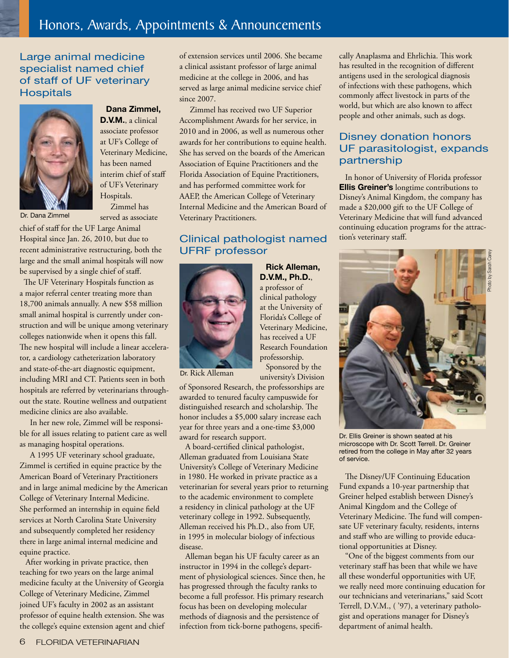## Honors, Awards, Appointments & Announcements

#### Large animal medicine specialist named chief of staff of UF veterinary **Hospitals**



#### **Dana Zimmel, D.V.M.**, a clinical associate professor

at UF's College of Veterinary Medicine, has been named interim chief of staff of UF's Veterinary Hospitals.

 Zimmel has served as associate

chief of staff for the UF Large Animal Hospital since Jan. 26, 2010, but due to recent administrative restructuring, both the large and the small animal hospitals will now be supervised by a single chief of staff.

 The UF Veterinary Hospitals function as a major referral center treating more than 18,700 animals annually. A new \$58 million small animal hospital is currently under construction and will be unique among veterinary colleges nationwide when it opens this fall. The new hospital will include a linear accelerator, a cardiology catheterization laboratory and state-of-the-art diagnostic equipment, including MRI and CT. Patients seen in both hospitals are referred by veterinarians throughout the state. Routine wellness and outpatient medicine clinics are also available.

 In her new role, Zimmel will be responsible for all issues relating to patient care as well as managing hospital operations.

 A 1995 UF veterinary school graduate, Zimmel is certified in equine practice by the American Board of Veterinary Practitioners and in large animal medicine by the American College of Veterinary Internal Medicine. She performed an internship in equine field services at North Carolina State University and subsequently completed her residency there in large animal internal medicine and equine practice.

After working in private practice, then teaching for two years on the large animal medicine faculty at the University of Georgia College of Veterinary Medicine, Zimmel joined UF's faculty in 2002 as an assistant professor of equine health extension. She was the college's equine extension agent and chief of extension services until 2006. She became a clinical assistant professor of large animal medicine at the college in 2006, and has served as large animal medicine service chief since 2007.

 Zimmel has received two UF Superior Accomplishment Awards for her service, in 2010 and in 2006, as well as numerous other awards for her contributions to equine health. She has served on the boards of the American Association of Equine Practitioners and the Florida Association of Equine Practitioners, and has performed committee work for AAEP, the American College of Veterinary Internal Medicine and the American Board of Dr. Dana Zimmel served as associate Veterinary Practitioners.

#### Clinical pathologist named UFRF professor



**D.V.M., Ph.D.**, a professor of clinical pathology at the University of Florida's College of Veterinary Medicine, has received a UF Research Foundation professorship. Sponsored by the university's Division

**Rick Alleman,** 

Dr. Rick Alleman

of Sponsored Research, the professorships are awarded to tenured faculty campuswide for distinguished research and scholarship. The honor includes a \$5,000 salary increase each year for three years and a one-time \$3,000 award for research support.

A board-certified clinical pathologist, Alleman graduated from Louisiana State University's College of Veterinary Medicine in 1980. He worked in private practice as a veterinarian for several years prior to returning to the academic environment to complete a residency in clinical pathology at the UF veterinary college in 1992. Subsequently, Alleman received his Ph.D., also from UF, in 1995 in molecular biology of infectious disease.

Alleman began his UF faculty career as an instructor in 1994 in the college's department of physiological sciences. Since then, he has progressed through the faculty ranks to become a full professor. His primary research focus has been on developing molecular methods of diagnosis and the persistence of infection from tick-borne pathogens, specifically Anaplasma and Ehrlichia. This work has resulted in the recognition of different antigens used in the serological diagnosis of infections with these pathogens, which commonly affect livestock in parts of the world, but which are also known to affect people and other animals, such as dogs.

#### Disney donation honors UF parasitologist, expands partnership

In honor of University of Florida professor **Ellis Greiner's** longtime contributions to Disney's Animal Kingdom, the company has made a \$20,000 gift to the UF College of Veterinary Medicine that will fund advanced continuing education programs for the attraction's veterinary staff.



Dr. Ellis Greiner is shown seated at his microscope with Dr. Scott Terrell. Dr. Greiner retired from the college in May after 32 years of service.

The Disney/UF Continuing Education Fund expands a 10-year partnership that Greiner helped establish between Disney's Animal Kingdom and the College of Veterinary Medicine. The fund will compensate UF veterinary faculty, residents, interns and staff who are willing to provide educational opportunities at Disney.

"One of the biggest comments from our veterinary staff has been that while we have all these wonderful opportunities with UF, we really need more continuing education for our technicians and veterinarians," said Scott Terrell, D.V.M., ( '97), a veterinary pathologist and operations manager for Disney's department of animal health.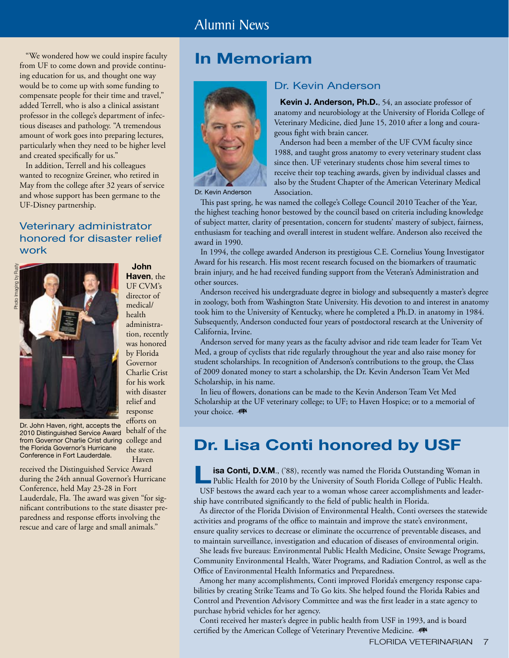"We wondered how we could inspire faculty from UF to come down and provide continuing education for us, and thought one way would be to come up with some funding to compensate people for their time and travel," added Terrell, who is also a clinical assistant professor in the college's department of infectious diseases and pathology. "A tremendous amount of work goes into preparing lectures, particularly when they need to be higher level and created specifically for us."

In addition, Terrell and his colleagues wanted to recognize Greiner, who retired in May from the college after 32 years of service and whose support has been germane to the UF-Disney partnership.

#### Veterinary administrator honored for disaster relief work



from Governor Charlie Crist during college and Dr. John Haven, right, accepts the 2010 Distinguished Service Award the Florida Governor's Hurricane Conference in Fort Lauderdale.

was honored by Florida Governor Charlie Crist for his work with disaster relief and response efforts on behalf of the the state. Haven

**John Haven**, the UF CVM's director of medical/ health administration, recently

received the Distinguished Service Award during the 24th annual Governor's Hurricane Conference, held May 23-28 in Fort Lauderdale, Fla. The award was given "for significant contributions to the state disaster preparedness and response efforts involving the rescue and care of large and small animals."

## **In Memoriam**



Dr. Kevin Anderson

#### Dr. Kevin Anderson

**Kevin J. Anderson, Ph.D.**, 54, an associate professor of anatomy and neurobiology at the University of Florida College of Veterinary Medicine, died June 15, 2010 after a long and courageous fight with brain cancer. Anderson had been a member of the UF CVM faculty since

1988, and taught gross anatomy to every veterinary student class since then. UF veterinary students chose him several times to receive their top teaching awards, given by individual classes and also by the Student Chapter of the American Veterinary Medical Association.

This past spring, he was named the college's College Council 2010 Teacher of the Year, the highest teaching honor bestowed by the council based on criteria including knowledge of subject matter, clarity of presentation, concern for students' mastery of subject, fairness, enthusiasm for teaching and overall interest in student welfare. Anderson also received the award in 1990.

In 1994, the college awarded Anderson its prestigious C.E. Cornelius Young Investigator Award for his research. His most recent research focused on the biomarkers of traumatic brain injury, and he had received funding support from the Veteran's Administration and other sources.

Anderson received his undergraduate degree in biology and subsequently a master's degree in zoology, both from Washington State University. His devotion to and interest in anatomy took him to the University of Kentucky, where he completed a Ph.D. in anatomy in 1984. Subsequently, Anderson conducted four years of postdoctoral research at the University of California, Irvine.

Anderson served for many years as the faculty advisor and ride team leader for Team Vet Med, a group of cyclists that ride regularly throughout the year and also raise money for student scholarships. In recognition of Anderson's contributions to the group, the Class of 2009 donated money to start a scholarship, the Dr. Kevin Anderson Team Vet Med Scholarship, in his name.

In lieu of flowers, donations can be made to the Kevin Anderson Team Vet Med Scholarship at the UF veterinary college; to UF; to Haven Hospice; or to a memorial of your choice. -

## **Dr. Lisa Conti honored by USF**

**Lisa Conti, D.V.M.**, ('88), recently was named the Florida Outstanding Woman in Public Health for 2010 by the University of South Florida College of Public Health. USF bestows the award each year to a woman whose career accomplishments and leadership have contributed significantly to the field of public health in Florida.

As director of the Florida Division of Environmental Health, Conti oversees the statewide activities and programs of the office to maintain and improve the state's environment, ensure quality services to decrease or eliminate the occurrence of preventable diseases, and to maintain surveillance, investigation and education of diseases of environmental origin.

She leads five bureaus: Environmental Public Health Medicine, Onsite Sewage Programs, Community Environmental Health, Water Programs, and Radiation Control, as well as the Office of Environmental Health Informatics and Preparedness.

Among her many accomplishments, Conti improved Florida's emergency response capabilities by creating Strike Teams and To Go kits. She helped found the Florida Rabies and Control and Prevention Advisory Committee and was the first leader in a state agency to purchase hybrid vehicles for her agency.

Conti received her master's degree in public health from USF in 1993, and is board certified by the American College of Veterinary Preventive Medicine.

FLORIDA VETERINARIAN 7